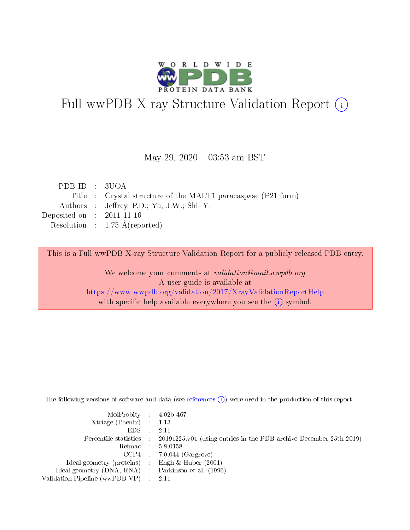

# Full wwPDB X-ray Structure Validation Report (i)

### May 29,  $2020 - 03:53$  am BST

| PDB ID : 3UOA                                                 |
|---------------------------------------------------------------|
| Title : Crystal structure of the MALT1 paracaspase (P21 form) |
| Authors : Jeffrey, P.D.; Yu, J.W.; Shi, Y.                    |
| Deposited on : $2011-11-16$                                   |
| Resolution : $1.75 \text{ Å}$ (reported)                      |
|                                                               |

This is a Full wwPDB X-ray Structure Validation Report for a publicly released PDB entry.

We welcome your comments at validation@mail.wwpdb.org A user guide is available at <https://www.wwpdb.org/validation/2017/XrayValidationReportHelp> with specific help available everywhere you see the  $(i)$  symbol.

The following versions of software and data (see [references](https://www.wwpdb.org/validation/2017/XrayValidationReportHelp#references)  $(i)$ ) were used in the production of this report:

| $MolProbability$ 4.02b-467                          |                                                                                            |
|-----------------------------------------------------|--------------------------------------------------------------------------------------------|
| Xtriage (Phenix) $: 1.13$                           |                                                                                            |
| $EDS$ :                                             | -2.11                                                                                      |
|                                                     | Percentile statistics : 20191225.v01 (using entries in the PDB archive December 25th 2019) |
|                                                     | Refmac : 5.8.0158                                                                          |
|                                                     | $CCP4$ : 7.0.044 (Gargrove)                                                                |
| Ideal geometry (proteins) : Engh $\&$ Huber (2001)  |                                                                                            |
| Ideal geometry (DNA, RNA) : Parkinson et al. (1996) |                                                                                            |
| Validation Pipeline (wwPDB-VP)                      | -2.11                                                                                      |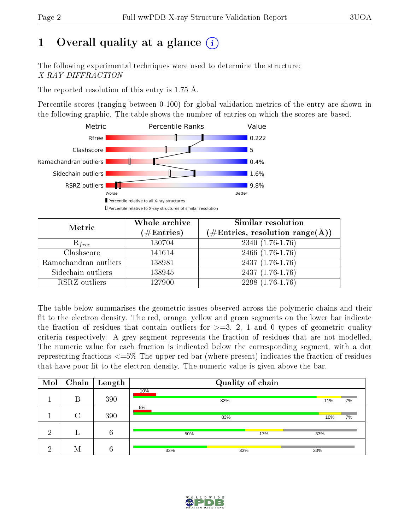# 1 [O](https://www.wwpdb.org/validation/2017/XrayValidationReportHelp#overall_quality)verall quality at a glance  $(i)$

The following experimental techniques were used to determine the structure: X-RAY DIFFRACTION

The reported resolution of this entry is 1.75 Å.

Percentile scores (ranging between 0-100) for global validation metrics of the entry are shown in the following graphic. The table shows the number of entries on which the scores are based.



| Metric                | Whole archive<br>$(\#\mathrm{Entries})$ | Similar resolution<br>$(\#\text{Entries}, \text{resolution range}(\text{\AA}))$ |  |  |
|-----------------------|-----------------------------------------|---------------------------------------------------------------------------------|--|--|
| $R_{free}$            | 130704                                  | $2340(1.76-1.76)$                                                               |  |  |
| Clashscore            | 141614                                  | 2466 (1.76-1.76)                                                                |  |  |
| Ramachandran outliers | 138981                                  | $2437(1.76-1.76)$                                                               |  |  |
| Sidechain outliers    | 138945                                  | $2437(1.76-1.76)$                                                               |  |  |
| RSRZ outliers         | 127900                                  | $2298(1.76-1.76)$                                                               |  |  |

The table below summarises the geometric issues observed across the polymeric chains and their fit to the electron density. The red, orange, yellow and green segments on the lower bar indicate the fraction of residues that contain outliers for  $>=3, 2, 1$  and 0 types of geometric quality criteria respectively. A grey segment represents the fraction of residues that are not modelled. The numeric value for each fraction is indicated below the corresponding segment, with a dot representing fractions  $\epsilon=5\%$  The upper red bar (where present) indicates the fraction of residues that have poor fit to the electron density. The numeric value is given above the bar.

| Mol | Chain  | $\mathbf{Length}$ |     | Quality of chain |           |
|-----|--------|-------------------|-----|------------------|-----------|
|     | Β      | 390               | 10% | 82%              | 7%<br>11% |
|     | $\cap$ | 390               | 8%  | 83%              | 10%<br>7% |
| റ   |        | 6                 | 50% | 17%              | 33%       |
| ച   | М      | 6                 | 33% | 33%              | 33%       |

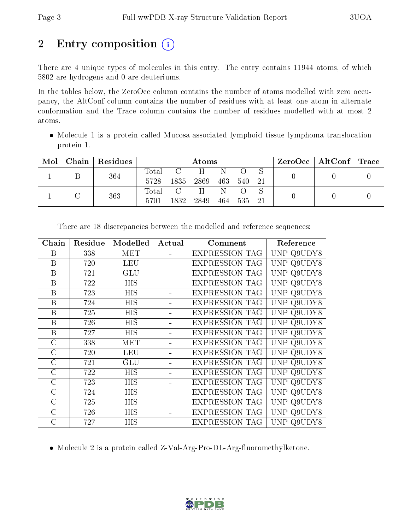# 2 Entry composition (i)

There are 4 unique types of molecules in this entry. The entry contains 11944 atoms, of which 5802 are hydrogens and 0 are deuteriums.

In the tables below, the ZeroOcc column contains the number of atoms modelled with zero occupancy, the AltConf column contains the number of residues with at least one atom in alternate conformation and the Trace column contains the number of residues modelled with at most 2 atoms.

• Molecule 1 is a protein called Mucosa-associated lymphoid tissue lymphoma translocation protein 1.

| Mol | Chain | Residues | Atoms |               |       |      |                  | $\text{ZeroOcc}$   AltConf   Trace |  |  |
|-----|-------|----------|-------|---------------|-------|------|------------------|------------------------------------|--|--|
|     |       | 364      | Total | $\mathcal{C}$ | $H^-$ | Ν    | $\left( \right)$ |                                    |  |  |
|     |       |          | 5728  | 1835          | 2869  | -463 | 540              | - 21                               |  |  |
|     |       | 363      | Total | C             | $H^-$ |      |                  |                                    |  |  |
|     |       |          | 5701  | 1832          | 2849  |      | 464 535 21       |                                    |  |  |

| Chain          | Residue | Modelled   | Actual | Comment               | Reference     |
|----------------|---------|------------|--------|-----------------------|---------------|
| B              | 338     | MET        |        | <b>EXPRESSION TAG</b> | UNP Q9UDY8    |
| B              | 720     | <b>LEU</b> |        | <b>EXPRESSION TAG</b> | UNP Q9UDY8    |
| B              | 721     | <b>GLU</b> |        | <b>EXPRESSION TAG</b> | UNP Q9UDY8    |
| B              | 722     | <b>HIS</b> |        | <b>EXPRESSION TAG</b> | UNP Q9UDY8    |
| B              | 723     | <b>HIS</b> |        | <b>EXPRESSION TAG</b> | UNP Q9UDY8    |
| B              | 724     | HIS        |        | <b>EXPRESSION TAG</b> | UNP Q9UDY8    |
| B              | 725     | <b>HIS</b> |        | <b>EXPRESSION TAG</b> | UNP Q9UDY8    |
| B              | 726     | <b>HIS</b> |        | <b>EXPRESSION TAG</b> | UNP Q9UDY8    |
| B              | 727     | <b>HIS</b> |        | <b>EXPRESSION TAG</b> | UNP Q9UDY8    |
| $\overline{C}$ | 338     | <b>MET</b> |        | <b>EXPRESSION TAG</b> | UNP Q9UDY8    |
| $\rm C$        | 720     | <b>LEU</b> |        | <b>EXPRESSION TAG</b> | UNP Q9UDY8    |
| $\rm C$        | 721     | <b>GLU</b> |        | <b>EXPRESSION TAG</b> | UNP Q9UDY8    |
| $\rm C$        | 722     | <b>HIS</b> |        | <b>EXPRESSION TAG</b> | UNP Q9UDY8    |
| $\rm C$        | 723     | <b>HIS</b> |        | <b>EXPRESSION TAG</b> | UNP Q9UDY8    |
| $\rm C$        | 724     | <b>HIS</b> |        | <b>EXPRESSION TAG</b> | UNP Q9UDY8    |
| $\rm C$        | 725     | HIS        |        | <b>EXPRESSION TAG</b> | UNP<br>Q9UDY8 |
| $\rm C$        | 726     | HIS        |        | <b>EXPRESSION TAG</b> | UNP<br>Q9UDY8 |
| C              | 727     | <b>HIS</b> |        | <b>EXPRESSION TAG</b> | UNP Q9UDY8    |

There are 18 discrepancies between the modelled and reference sequences:

• Molecule 2 is a protein called Z-Val-Arg-Pro-DL-Arg-fluoromethylketone.

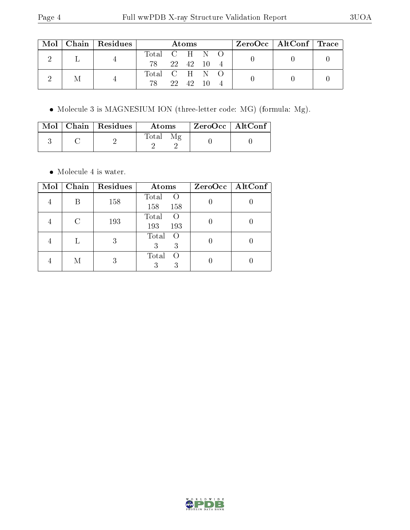| Mol |  | Chain   Residues | <b>Atoms</b>  |  |       |  | ZeroOcc   AltConf   Trace |  |  |
|-----|--|------------------|---------------|--|-------|--|---------------------------|--|--|
|     |  |                  | Total C H N O |  |       |  |                           |  |  |
|     |  | 78 22 42 10 4    |               |  |       |  |                           |  |  |
|     |  |                  | Total C H N O |  |       |  |                           |  |  |
|     |  |                  | 78            |  | 22 42 |  |                           |  |  |

Molecule 3 is MAGNESIUM ION (three-letter code: MG) (formula: Mg).

|  | Mol   Chain   Residues | <b>Atoms</b> | $\mid$ ZeroOcc $\mid$ AltConf $\mid$ |  |
|--|------------------------|--------------|--------------------------------------|--|
|  |                        | Total        |                                      |  |

• Molecule 4 is water.

| Mol |   | Chain   Residues | Atoms                                   | ZeroOcc   AltConf |
|-----|---|------------------|-----------------------------------------|-------------------|
|     |   | 158              | Total<br>$\left( \right)$<br>158<br>158 |                   |
|     |   | 193              | Total<br>193<br>193                     |                   |
|     |   | 3                | Total<br>$\bigcirc$<br>3<br>3           |                   |
|     | М | 3                | Total<br>$\left($<br>3                  |                   |

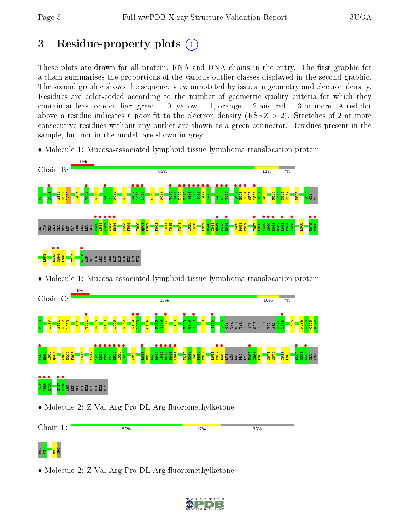# 3 Residue-property plots  $(i)$

These plots are drawn for all protein, RNA and DNA chains in the entry. The first graphic for a chain summarises the proportions of the various outlier classes displayed in the second graphic. The second graphic shows the sequence view annotated by issues in geometry and electron density. Residues are color-coded according to the number of geometric quality criteria for which they contain at least one outlier: green  $= 0$ , yellow  $= 1$ , orange  $= 2$  and red  $= 3$  or more. A red dot above a residue indicates a poor fit to the electron density (RSRZ  $> 2$ ). Stretches of 2 or more consecutive residues without any outlier are shown as a green connector. Residues present in the sample, but not in the model, are shown in grey.

• Molecule 1: Mucosa-associated lymphoid tissue lymphoma translocation protein 1



• Molecule 1: Mucosa-associated lymphoid tissue lymphoma translocation protein 1





• Molecule 2: Z-Val-Arg-Pro-DL-Arg-fluoromethylketone

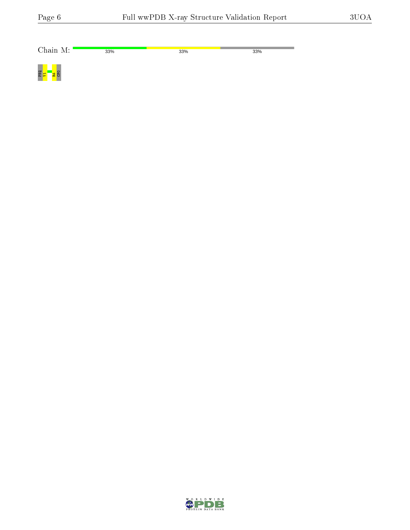| Chain M:         | 33% | 33% | 33% |
|------------------|-----|-----|-----|
| 멾 <mark>그</mark> |     |     |     |

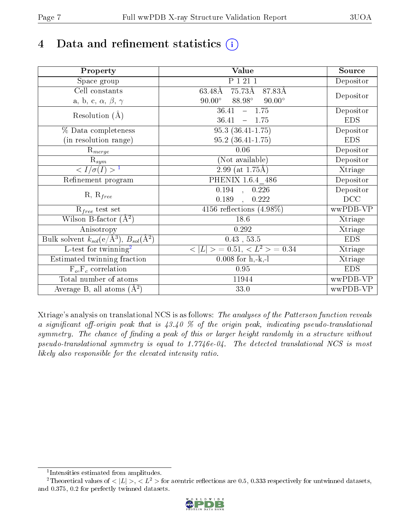# 4 Data and refinement statistics  $(i)$

| Property                                                             | Value                                     | Source     |
|----------------------------------------------------------------------|-------------------------------------------|------------|
| Space group                                                          | P 1 21 1                                  | Depositor  |
| Cell constants                                                       | 75.73Å<br>63.48Å<br>87.83Å                |            |
| a, b, c, $\alpha$ , $\beta$ , $\gamma$                               | $90.00^\circ$<br>88.98°<br>$90.00^\circ$  | Depositor  |
| Resolution $(A)$                                                     | $\frac{-1.75}{2}$<br>36.41                | Depositor  |
|                                                                      | 36.41<br>1.75<br>$\overline{\phantom{0}}$ | <b>EDS</b> |
| % Data completeness                                                  | $95.3(36.41-1.75)$                        | Depositor  |
| (in resolution range)                                                | $95.2(36.41-1.75)$                        | <b>EDS</b> |
| $R_{merge}$                                                          | 0.06                                      | Depositor  |
| $\mathrm{R}_{sym}$                                                   | (Not available)                           | Depositor  |
| $\langle I/\sigma(I) \rangle^{-1}$                                   | $\overline{2.99}$ (at 1.75Å)              | Xtriage    |
| Refinement program                                                   | PHENIX 1.6.4 486                          | Depositor  |
|                                                                      | $\overline{0.194}$ ,<br>0.226             | Depositor  |
| $R, R_{free}$                                                        | 0.189<br>0.222<br>$\mathbf{A}$            | DCC        |
| $R_{free}$ test set                                                  | 4156 reflections $(4.98\%)$               | wwPDB-VP   |
| Wilson B-factor $(A^2)$                                              | 18.6                                      | Xtriage    |
| Anisotropy                                                           | 0.292                                     | Xtriage    |
| Bulk solvent $k_{sol}(e/\mathring{A}^3)$ , $B_{sol}(\mathring{A}^2)$ | $0.43$ , 53.5                             | <b>EDS</b> |
| $\overline{L-test for}$ twinning <sup>2</sup>                        | $< L >$ = 0.51, $< L2 >$ = 0.34           | Xtriage    |
| Estimated twinning fraction                                          | $0.008$ for $h,-k,-l$                     | Xtriage    |
| $F_o, F_c$ correlation                                               | 0.95                                      | <b>EDS</b> |
| Total number of atoms                                                | 11944                                     | wwPDB-VP   |
| Average B, all atoms $(A^2)$                                         | 33.0                                      | wwPDB-VP   |

Xtriage's analysis on translational NCS is as follows: The analyses of the Patterson function reveals a significant off-origin peak that is  $43.40\%$  of the origin peak, indicating pseudo-translational symmetry. The chance of finding a peak of this or larger height randomly in a structure without pseudo-translational symmetry is equal to 1.7746e-04. The detected translational NCS is most likely also responsible for the elevated intensity ratio.

<sup>&</sup>lt;sup>2</sup>Theoretical values of  $\langle |L| \rangle$ ,  $\langle L^2 \rangle$  for acentric reflections are 0.5, 0.333 respectively for untwinned datasets, and 0.375, 0.2 for perfectly twinned datasets.



<span id="page-6-1"></span><span id="page-6-0"></span><sup>1</sup> Intensities estimated from amplitudes.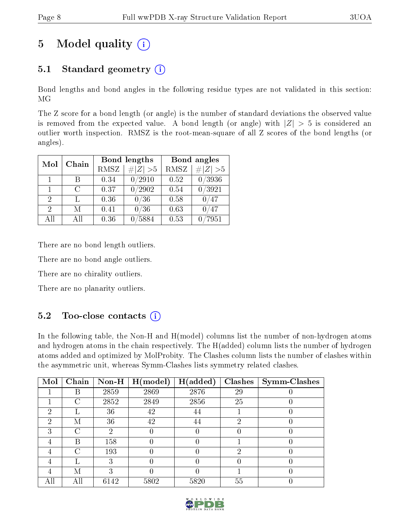# 5 Model quality  $(i)$

# 5.1 Standard geometry  $(i)$

Bond lengths and bond angles in the following residue types are not validated in this section: MG

The Z score for a bond length (or angle) is the number of standard deviations the observed value is removed from the expected value. A bond length (or angle) with  $|Z| > 5$  is considered an outlier worth inspection. RMSZ is the root-mean-square of all Z scores of the bond lengths (or angles).

| Mol            | Chain |             | Bond lengths | Bond angles |                  |  |
|----------------|-------|-------------|--------------|-------------|------------------|--|
|                |       | <b>RMSZ</b> | $\# Z  > 5$  | <b>RMSZ</b> | $\ Z\  > 5$      |  |
| 1.             |       | 0.34        | 0/2910       | 0.52        | 0/3936           |  |
| 1              | C     | 0.37        | /2902        | 0.54        | $\frac{0}{3921}$ |  |
| $\overline{2}$ |       | 0.36        | 0/36         | 0.58        | 0/47             |  |
| 2              | M     | 0.41        | 0/36         | 0.63        | 0/47             |  |
| All            | Αll   | 0.36        | 5884         | 0.53        | 7951             |  |

There are no bond length outliers.

There are no bond angle outliers.

There are no chirality outliers.

There are no planarity outliers.

## $5.2$  Too-close contacts  $\overline{1}$

In the following table, the Non-H and H(model) columns list the number of non-hydrogen atoms and hydrogen atoms in the chain respectively. The H(added) column lists the number of hydrogen atoms added and optimized by MolProbity. The Clashes column lists the number of clashes within the asymmetric unit, whereas Symm-Clashes lists symmetry related clashes.

| Mol | Chain | $\bf Non-H$ | H (model) | H(added) | <b>Clashes</b> | <b>Symm-Clashes</b> |
|-----|-------|-------------|-----------|----------|----------------|---------------------|
|     | B     | 2859        | 2869      | 2876     | 29             |                     |
|     | C     | 2852        | 2849      | 2856     | 25             |                     |
| ച   |       | 36          | 42        | 44       |                |                     |
| 2   | М     | 36          | 42        | 44       | ٠,             |                     |
| 3   |       | റ           |           |          |                |                     |
|     | B     | 158         |           |          |                |                     |
|     | C     | 193         |           |          | ച              |                     |
|     |       | 3           |           |          |                |                     |
|     | М     | ົ           |           |          |                |                     |
|     | All   | 6142        | 5802      | 5820     | 55             |                     |

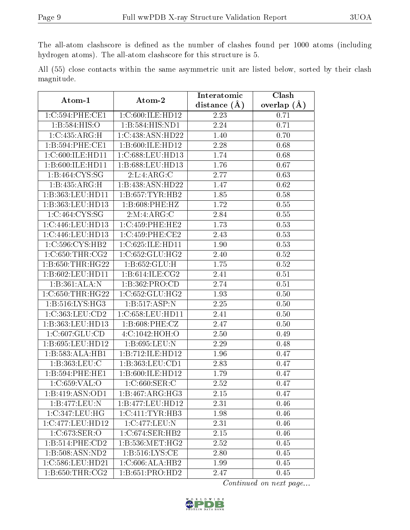The all-atom clashscore is defined as the number of clashes found per 1000 atoms (including hydrogen atoms). The all-atom clashscore for this structure is 5.

All (55) close contacts within the same asymmetric unit are listed below, sorted by their clash magnitude.

| Atom-1                       | Atom-2                            | Interatomic       | Clash           |
|------------------------------|-----------------------------------|-------------------|-----------------|
|                              |                                   | distance $(A)$    | overlap $(\AA)$ |
| 1:C:594:PHE:CE1              | 1:C:600:ILE:HD12                  | 2.23              | 0.71            |
| 1:B:584:HIS:O                | $1:B:584:HIS:N\overline{D1}$      | 2.24              | 0.71            |
| 1:C:435:ARG:H                | 1:C:438:ASN:HD22                  | 1.40              | 0.70            |
| 1:B:594:PHE:CE1              | 1:B:600:ILE:HD12                  | 2.28              | 0.68            |
| 1:C:600:ILE:HD11             | 1:C:688:LEU:HD13                  | 1.74              | 0.68            |
| 1:B:600:ILE:HD11             | 1:B:688:LEU:HD13                  | 1.76              | 0.67            |
| 1:B:464:CYS:SG               | 2:L:4:ARG:C                       | 2.77              | 0.63            |
| 1:B:435:ARG:H                | 1:B:438:ASN:HD22                  | 1.47              | 0.62            |
| 1:B:363:LEU:HD11             | 1:B:657:TYR:HB2                   | 1.85              | 0.58            |
| 1:B:363:LEU:HD13             | 1:B:608:PHE:HZ                    | 1.72              | 0.55            |
| $1:C:464:CYS:S\overline{G}$  | 2:M:4:ARG:C                       | 2.84              | 0.55            |
| 1:C:446:LEU:HD13             | 1:C:459:PHE:HE2                   | 1.73              | 0.53            |
| 1:C:446:LEU:HD13             | 1:C:459:PHE:CE2                   | 2.43              | 0.53            |
| 1:C:596:CYS:HB2              | 1:C:625:ILE:HD11                  | 1.90              | 0.53            |
| 1:C:650:THR:CG2              | 1:C:652:GLU:HG2                   | 2.40              | 0.52            |
| 1:B:650:THR:HG22             | 1:B:652:GLU:H                     | 1.75              | 0.52            |
| 1:B:602:LEU:HD11             | 1:B:614:ILE:CG2                   | 2.41              | 0.51            |
| 1:B:361:ALA:N                | 1:B:362:PRO:CD                    | 2.74              | 0.51            |
| 1:C:650:THR:HG22             | 1:C:652:GLU:HG2                   | 1.93              | 0.50            |
| 1: B:516: LYS: HG3           | 1:B:517:ASP:N                     | 2.25              | 0.50            |
| 1:C:363:LEU:CD2              | 1:C:658:LEU:HD11                  | 2.41              | 0.50            |
| 1:B:363:LEU:HD13             | 1:B:608:PHE:CZ                    | 2.47              | 0.50            |
| 1:C:607:GLU:CD               | 4:C:1042:HOH:O                    | 2.50              | 0.49            |
| 1:B:695:LEU:HD12             | 1:B:695:LEU:N                     | 2.29              | 0.48            |
| 1:B:583:ALA:HB1              | 1:B:712:ILE:HD12                  | 1.96              | 0.47            |
| 1:B:363:LEU:C                | 1:B:363:LEU:CD1                   | 2.83              | 0.47            |
| 1:B:594:PHE:HE1              | 1:B:600:ILE:HD12                  | 1.79              | 0.47            |
| 1:C:659:VAL:O                | $1:C:660:\overline{\text{SER}:C}$ | 2.52              | 0.47            |
| $1:\overline{B:419:ASN:OD1}$ | 1:B:467:ARG:HG3                   | $\overline{2.15}$ | 0.47            |
| 1:B:477:LEU:N                | 1:B:477:LEU:HD12                  | 2.31              | 0.46            |
| 1:C:347:LEU:HG               | 1:C:411:TYR:HB3                   | 1.98              | 0.46            |
| 1:C:477:LEU:HD12             | 1:C:477:LEU:N                     | 2.31              | 0.46            |
| 1:C:673:SER:O                | 1:C:674:SER:HB2                   | 2.15              | 0.46            |
| 1:B:514:PHE:CD2              | 1: B: 536: MET:HG2                | 2.52              | 0.45            |
| 1:B:508:ASN:ND2              | 1: B:516: LYS: CE                 | 2.80              | 0.45            |
| 1:C:586:LEU:HD21             | 1:C:606:ALA:HB2                   | 1.99              | 0.45            |
| 1: B:650:THR:CG2             | 1:B:651:PRO:HD2                   | 2.47              | 0.45            |

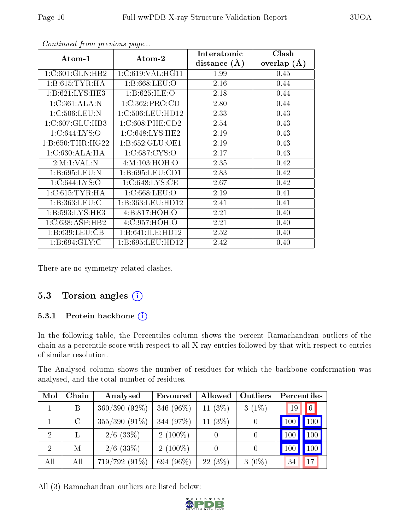|                                       | Atom-2              | Interatomic    | Clash           |
|---------------------------------------|---------------------|----------------|-----------------|
| $\boldsymbol{\mathrm{Atom}\text{-}1}$ |                     | distance $(A)$ | overlap $(\AA)$ |
| 1:C:601:GLN:HB2                       | 1:C:619:VAL:HG11    | 1.99           | 0.45            |
| 1: B:615: TYR: HA                     | 1: B: 668: LEU: O   | 2.16           | 0.44            |
| 1: B:621: LYS: HE3                    | 1:B:625:ILE:O       | 2.18           | 0.44            |
| 1:C:361:ALA:N                         | 1:C:362:PRO:CD      | 2.80           | 0.44            |
| 1:C:506:LEU:N                         | 1:C:506:LEU:HD12    | 2.33           | 0.43            |
| 1:C:607:GLU:HB3                       | 1:C:608:PHE:CD2     | 2.54           | 0.43            |
| 1:C:644:LYS:O                         | 1:C:648:LYS:HE2     | 2.19           | 0.43            |
| 1: B:650:THR:HG22                     | 1: B: 652: GLU: OE1 | 2.19           | 0.43            |
| 1: C:630:ALA:HA                       | 1:C:687:CYS:O       | 2.17           | 0.43            |
| 2:M:1:VAL:N                           | 4:M:103:HOH:O       | 2.35           | 0.42            |
| 1:B:695:LEU:N                         | 1:B:695:LEU:CD1     | 2.83           | 0.42            |
| 1:C:644:LYS:O                         | 1:C:648:LYS:CE      | 2.67           | 0.42            |
| 1:C:615:TYR:HA                        | 1:C:668:LEU:O       | 2.19           | 0.41            |
| 1:B:363:LEU:C                         | 1:B:363:LEU:HD12    | 2.41           | 0.41            |
| 1: B:593: LYS: HE3                    | 4:B:817:HOH:O       | 2.21           | 0.40            |
| 1:C:638:ASP:HB2                       | 4:C:957:HOH:O       | 2.21           | 0.40            |
| $1: B: 639: \text{LEU:CB}$            | 1:B:641:ILE:HD12    | 2.52           | 0.40            |
| 1: B:694: GLY: C                      | 1:B:695:LEU:HD12    | 2.42           | 0.40            |

Continued from previous page...

There are no symmetry-related clashes.

## 5.3 Torsion angles  $(i)$

#### 5.3.1 Protein backbone (i)

In the following table, the Percentiles column shows the percent Ramachandran outliers of the chain as a percentile score with respect to all X-ray entries followed by that with respect to entries of similar resolution.

The Analysed column shows the number of residues for which the backbone conformation was analysed, and the total number of residues.

| Mol            | Chain         | Analysed        | Favoured   | Allowed    | Outliers | Percentiles |     |
|----------------|---------------|-----------------|------------|------------|----------|-------------|-----|
|                | B             | 360/390 (92%)   | 346 (96%)  | 11 $(3\%)$ | $3(1\%)$ | 19          | 6   |
|                | $\mathcal{C}$ | $355/390(91\%)$ | 344 (97%)  | 11 $(3%)$  |          | 100         | 100 |
| 2              | L             | $2/6$ (33\%)    | $2(100\%)$ |            | $\theta$ | 100         | 100 |
| $\overline{2}$ | М             | $2/6$ (33\%)    | $2(100\%)$ |            | 0        | 100         | 100 |
| All            | All           | 719/792 (91%)   | 694 (96%)  | $22(3\%)$  | $3(0\%)$ | 34          | 17  |

All (3) Ramachandran outliers are listed below:

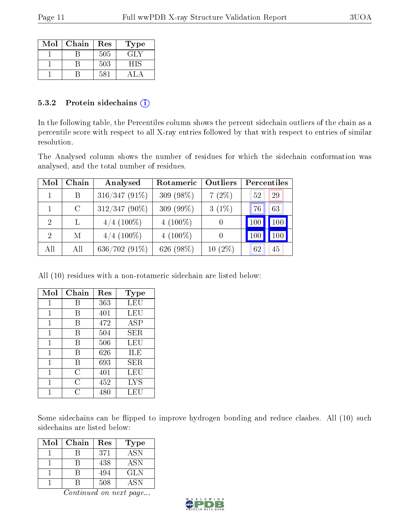| Mol | Chain | Res | Type |
|-----|-------|-----|------|
|     |       | 505 | GLY  |
|     |       | 503 | НIS  |
|     |       | 581 |      |

#### 5.3.2 Protein sidechains  $(i)$

In the following table, the Percentiles column shows the percent sidechain outliers of the chain as a percentile score with respect to all X-ray entries followed by that with respect to entries of similar resolution.

The Analysed column shows the number of residues for which the sidechain conformation was analysed, and the total number of residues.

| Mol           | Chain   | Analysed        | Rotameric    | Outliers         | Percentiles |     |
|---------------|---------|-----------------|--------------|------------------|-------------|-----|
|               | B       | $316/347(91\%)$ | $309(98\%)$  | 7(2%)            | 52          | 29  |
|               | $\rm C$ | 312/347 (90%)   | 309 $(99\%)$ | $3(1\%)$         | 76          | 63  |
| $\mathcal{D}$ |         | $4/4$ (100\%)   | $4(100\%)$   | $\left( \right)$ | 100         | 100 |
| $\mathcal{D}$ | М       | $4/4$ (100\%)   | 4 $(100\%)$  | $\left( \right)$ | 100         | 100 |
| All           | All     | $636/702(91\%)$ | 626 (98%)    | $10(2\%)$        | 62          | 45  |

All (10) residues with a non-rotameric sidechain are listed below:

| Mol | Chain | Res | Type       |
|-----|-------|-----|------------|
| 1   | B     | 363 | LEU        |
| 1   | В     | 401 | LEU        |
| 1   | В     | 472 | ASP        |
| 1   | В     | 504 | SER.       |
| 1   | B     | 506 | LEU        |
| 1   | В     | 626 | ILE        |
| 1   | В     | 693 | SER.       |
| 1   | C     | 401 | LEU        |
| 1   | С     | 452 | <b>LYS</b> |
|     | C     | 480 | LEU        |

Some sidechains can be flipped to improve hydrogen bonding and reduce clashes. All (10) such sidechains are listed below:

| Mol | Chain | Res | Type       |
|-----|-------|-----|------------|
|     |       | 371 | <b>ASN</b> |
|     |       | 438 | ASN        |
|     |       | 494 | <b>GLN</b> |
|     |       | 508 | <b>ASN</b> |

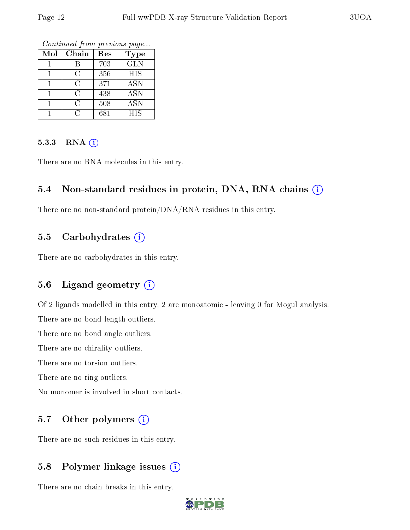Continued from previous page...

| Mol | Chain | Res | <b>Type</b> |
|-----|-------|-----|-------------|
|     |       | 703 | <b>GLN</b>  |
|     | C     | 356 | <b>HIS</b>  |
|     | C     | 371 | ASN         |
|     | C     | 438 | <b>ASN</b>  |
|     | C     | 508 | <b>ASN</b>  |
|     | ( )   | 681 | <b>HIS</b>  |

#### 5.3.3 RNA [O](https://www.wwpdb.org/validation/2017/XrayValidationReportHelp#rna)i

There are no RNA molecules in this entry.

#### 5.4 Non-standard residues in protein, DNA, RNA chains (i)

There are no non-standard protein/DNA/RNA residues in this entry.

### 5.5 Carbohydrates  $(i)$

There are no carbohydrates in this entry.

### 5.6 Ligand geometry (i)

Of 2 ligands modelled in this entry, 2 are monoatomic - leaving 0 for Mogul analysis.

There are no bond length outliers.

There are no bond angle outliers.

There are no chirality outliers.

There are no torsion outliers.

There are no ring outliers.

No monomer is involved in short contacts.

### 5.7 [O](https://www.wwpdb.org/validation/2017/XrayValidationReportHelp#nonstandard_residues_and_ligands)ther polymers  $(i)$

There are no such residues in this entry.

### 5.8 Polymer linkage issues  $(i)$

There are no chain breaks in this entry.

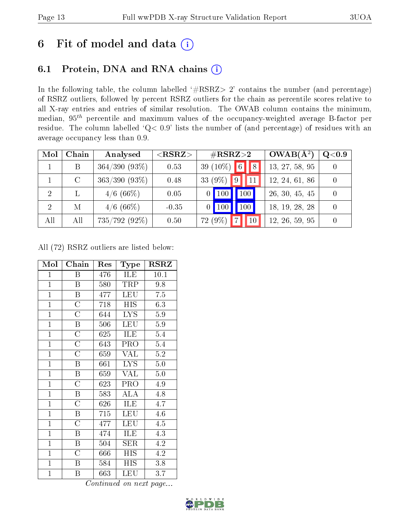# 6 Fit of model and data  $(i)$

# 6.1 Protein, DNA and RNA chains  $(i)$

In the following table, the column labelled  $#RSRZ> 2'$  contains the number (and percentage) of RSRZ outliers, followed by percent RSRZ outliers for the chain as percentile scores relative to all X-ray entries and entries of similar resolution. The OWAB column contains the minimum, median,  $95<sup>th</sup>$  percentile and maximum values of the occupancy-weighted average B-factor per residue. The column labelled ' $Q< 0.9$ ' lists the number of (and percentage) of residues with an average occupancy less than 0.9.

| Mol | Chain   | Analysed         | $<$ RSRZ $>$ | $\#\text{RSRZ}{>}2$          | $OWAB(A^2)$    | Q <sub>0.9</sub> |
|-----|---------|------------------|--------------|------------------------------|----------------|------------------|
|     | Β       | $364/390 (93\%)$ | 0.53         | 6 <br>39 $(10\%)$<br>8       | 13, 27, 58, 95 |                  |
|     | $\rm C$ | $363/390 (93\%)$ | 0.48         | 33 (9%)<br>$ 9\rangle$<br>11 | 12, 24, 61, 86 |                  |
| 2   |         | $4/6$ (66\%)     | 0.05         | 100 <sub>1</sub><br>100      | 26, 30, 45, 45 |                  |
| 2   | М       | $4/6$ (66\%)     | $-0.35$      | 100<br>$\mid$ 100            | 18, 19, 28, 28 |                  |
| All | All     | 735/792 (92%)    | 0.50         | 72 (9%)<br>10                | 12, 26, 59, 95 |                  |

All (72) RSRZ outliers are listed below:

| Mol            | ${\bf Chain}$           | Res | Type                    | <b>RSRZ</b>      |
|----------------|-------------------------|-----|-------------------------|------------------|
| $\overline{1}$ | B                       | 476 | ILE                     | 10.1             |
| $\overline{1}$ | B                       | 580 | TRP                     | 9.8              |
| $\mathbf{1}$   | $\boldsymbol{B}$        | 477 | <b>LEU</b>              | $\overline{7.5}$ |
| $\mathbf{1}$   | $\overline{\rm C}$      | 718 | HIS                     | 6.3              |
| $\overline{1}$ | $\overline{\rm C}$      | 644 | <b>LYS</b>              | 5.9              |
| $\overline{1}$ | $\, {\bf B}$            | 506 | <b>LEU</b>              | 5.9              |
| $\overline{1}$ | $\overline{\rm C}$      | 625 | ILE                     | 5.4              |
| $\mathbf{1}$   | $\overline{\rm C}$      | 643 | PRO                     | 5.4              |
| $\overline{1}$ | $\overline{C}$          | 659 | <b>VAL</b>              | 5.2              |
| $\overline{1}$ | $\boldsymbol{B}$        | 661 | $\overline{\text{LYS}}$ | $5.0\,$          |
| $\mathbf{1}$   | $\boldsymbol{B}$        | 659 | VAL                     | 5.0              |
| $\overline{1}$ | $\overline{\rm C}$      | 623 | PRO                     | 4.9              |
| $\mathbf{1}$   | $\boldsymbol{B}$        | 583 | <b>ALA</b>              | 4.8              |
| $\mathbf{1}$   | $\overline{C}$          | 626 | ILE                     | 4.7              |
| $\overline{1}$ | B                       | 715 | LEU                     | 4.6              |
| $\overline{1}$ | $\overline{\rm C}$      | 477 | <b>LEU</b>              | 4.5              |
| $\overline{1}$ | $\overline{\mathrm{B}}$ | 474 | ĪLE                     | 4.3              |
| $\mathbf{1}$   | B                       | 504 | ${\rm SER}$             | 4.2              |
| $\mathbf{1}$   | $\overline{C}$          | 666 | HIS                     | 4.2              |
| $\overline{1}$ | $\boldsymbol{B}$        | 584 | <b>HIS</b>              | 3.8              |
| $\overline{1}$ | B                       | 663 | LEU                     | 3.7              |

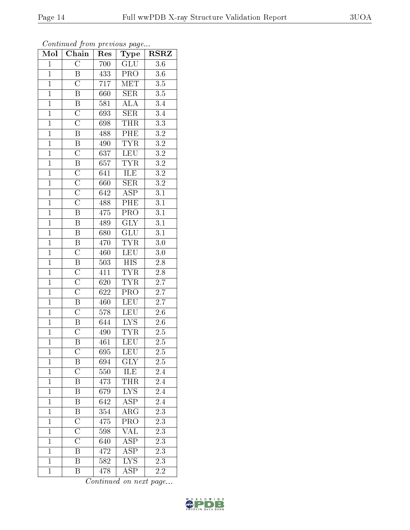| Mol            | Chain                   | Res              | <b>Type</b>             | <b>RSRZ</b>      |
|----------------|-------------------------|------------------|-------------------------|------------------|
| $\mathbf{1}$   | $\overline{\rm C}$      | 700              | $\overline{GLU}$        | 3.6              |
| $\mathbf{1}$   | $\, {\bf B}$            | 433              | PRO                     | 3.6              |
| $\overline{1}$ | $\overline{\rm C}$      | 717              | $\overline{\text{MET}}$ | $\overline{3.5}$ |
| $\mathbf{1}$   | B                       | 660              | <b>SER</b>              | $\overline{3.5}$ |
| $\overline{1}$ | $\overline{B}$          | 581              | $\overline{ALA}$        | $\overline{3.4}$ |
| $\mathbf{1}$   | $\mathcal{C}$           | 693              | <b>SER</b>              | 3.4              |
| $\overline{1}$ | $\overline{\text{C}}$   | 698              | THR                     | $\overline{3.3}$ |
| $\mathbf{1}$   | $\overline{\mathrm{B}}$ | 488              | PHE                     | $\overline{3.2}$ |
| $\overline{1}$ | $\overline{\mathbf{B}}$ | 490              | $\overline{\text{TYR}}$ | $\overline{3.2}$ |
| $\overline{1}$ | $\overline{\rm C}$      | $\overline{637}$ | <b>LEU</b>              | $\overline{3.2}$ |
| $\overline{1}$ | $\overline{\mathrm{B}}$ | 657              | <b>TYR</b>              | $\overline{3.2}$ |
| $\overline{1}$ | $\overline{\rm C}$      | 641              | <b>ILE</b>              | $\overline{3.2}$ |
| $\overline{1}$ | $\overline{\rm C}$      | 660              | $\overline{\text{SER}}$ | $\overline{3.2}$ |
| $\overline{1}$ | $\overline{\text{C}}$   | 642              | <b>ASP</b>              | $\overline{3.1}$ |
| $\overline{1}$ | $\overline{\rm C}$      | 488              | PHE                     | $\overline{3.1}$ |
| $\overline{1}$ | $\overline{\mathrm{B}}$ | 475              | PRO                     | $\overline{3.1}$ |
| $\overline{1}$ | $\overline{\mathrm{B}}$ | 489              | $\overline{\text{GLY}}$ | $\overline{3.1}$ |
| $\overline{1}$ | $\boldsymbol{B}$        | 680              | GLU                     | $\overline{3.1}$ |
| $\overline{1}$ | $\boldsymbol{B}$        | 470              | <b>TYR</b>              | 3.0              |
| $\mathbf{1}$   | $\overline{\rm C}$      | 460              | <b>LEU</b>              | 3.0              |
| $\mathbf{1}$   | $\overline{B}$          | 503              | <b>HIS</b>              | 2.8              |
| $\overline{1}$ | $\overline{\rm C}$      | 411              | <b>TYR</b>              | $\overline{2.8}$ |
| $\mathbf{1}$   | $\overline{\rm C}$      | 620              | <b>TYR</b>              | $\overline{2.7}$ |
| $\overline{1}$ | $\overline{\rm C}$      | $\overline{622}$ | $\overline{\text{PRO}}$ | $\overline{2.7}$ |
| $\mathbf{1}$   | B                       | 460              | <b>LEU</b>              | 2.7              |
| $\mathbf{1}$   | $\overline{\rm C}$      | 578              | <b>LEU</b>              | 2.6              |
| $\mathbf{1}$   | $\overline{\mathrm{B}}$ | 644              | $\overline{\text{LYS}}$ | 2.6              |
| $\overline{1}$ | $\overline{\text{C}}$   | 490              | <b>TYR</b>              | 2.5              |
| $\overline{1}$ | $\overline{\mathrm{B}}$ | $\overline{461}$ | $\overline{\text{LEU}}$ | $\overline{2.5}$ |
| $\mathbf{1}$   | $\overline{\rm C}$      | 695              | <b>LEU</b>              | $\overline{2.5}$ |
| $\mathbf{1}$   | Β                       | 694              | GLY                     | 2.5              |
| $\mathbf{1}$   | $\overline{\rm C}$      | 550              | ILE                     | 2.4              |
| $\mathbf{1}$   | Β                       | 473              | THR                     | $2.\overline{4}$ |
| $\overline{1}$ | Β                       | 679              | $\overline{\text{LYS}}$ | $\overline{2.4}$ |
| $\mathbf{1}$   | Β                       | 642              | $A\overline{SP}$        | 2.4              |
| $\mathbf{1}$   | $\overline{\mathrm{B}}$ | 354              | $\overline{\text{ARG}}$ | $\overline{2.3}$ |
| $\mathbf{1}$   | $\overline{\rm C}$      | 475              | PRO                     | $2.\overline{3}$ |
| $\overline{1}$ | $\overline{\text{C}}$   | 598              | VAL                     | 2.3              |
| $\mathbf{1}$   | $\overline{\rm C}$      | 640              | $A\overline{SP}$        | 2.3              |
| $\mathbf{1}$   | $\, {\bf B}$            | 472              | ASP                     | 2.3              |
| $\mathbf{1}$   | $\overline{\mathrm{B}}$ | 582              | $\overline{\text{LYS}}$ | $\overline{2.3}$ |
| $\mathbf{1}$   | $\boldsymbol{B}$        | 478              | <b>ASP</b>              | 2.2              |

Continued from previous page...